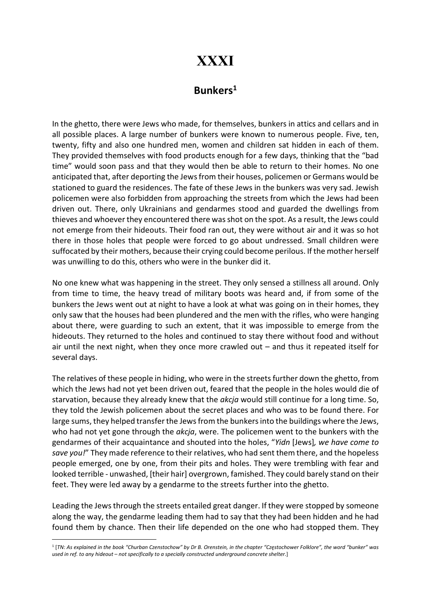## XXXI

## Bunkers<sup>1</sup>

In the ghetto, there were Jews who made, for themselves, bunkers in attics and cellars and in all possible places. A large number of bunkers were known to numerous people. Five, ten, twenty, fifty and also one hundred men, women and children sat hidden in each of them. They provided themselves with food products enough for a few days, thinking that the "bad time" would soon pass and that they would then be able to return to their homes. No one anticipated that, after deporting the Jews from their houses, policemen or Germans would be stationed to guard the residences. The fate of these Jews in the bunkers was very sad. Jewish policemen were also forbidden from approaching the streets from which the Jews had been driven out. There, only Ukrainians and gendarmes stood and guarded the dwellings from thieves and whoever they encountered there was shot on the spot. As a result, the Jews could not emerge from their hideouts. Their food ran out, they were without air and it was so hot there in those holes that people were forced to go about undressed. Small children were suffocated by their mothers, because their crying could become perilous. If the mother herself was unwilling to do this, others who were in the bunker did it.

No one knew what was happening in the street. They only sensed a stillness all around. Only from time to time, the heavy tread of military boots was heard and, if from some of the bunkers the Jews went out at night to have a look at what was going on in their homes, they only saw that the houses had been plundered and the men with the rifles, who were hanging about there, were guarding to such an extent, that it was impossible to emerge from the hideouts. They returned to the holes and continued to stay there without food and without air until the next night, when they once more crawled out – and thus it repeated itself for several days.

The relatives of these people in hiding, who were in the streets further down the ghetto, from which the Jews had not yet been driven out, feared that the people in the holes would die of starvation, because they already knew that the *akcja* would still continue for a long time. So, they told the Jewish policemen about the secret places and who was to be found there. For large sums, they helped transfer the Jews from the bunkers into the buildings where the Jews, who had not yet gone through the akcja, were. The policemen went to the bunkers with the gendarmes of their acquaintance and shouted into the holes, "Yidn [Jews], we have come to save you!" They made reference to their relatives, who had sent them there, and the hopeless people emerged, one by one, from their pits and holes. They were trembling with fear and looked terrible - unwashed, [their hair] overgrown, famished. They could barely stand on their feet. They were led away by a gendarme to the streets further into the ghetto.

Leading the Jews through the streets entailed great danger. If they were stopped by someone along the way, the gendarme leading them had to say that they had been hidden and he had found them by chance. Then their life depended on the one who had stopped them. They

<sup>1</sup> [TN: As explained in the book "Churban Czenstochow" by Dr B. Orenstein, in the chapter "Częstochower Folklore", the word "bunker" was used in ref. to any hideout – not specifically to a specially constructed underground concrete shelter.]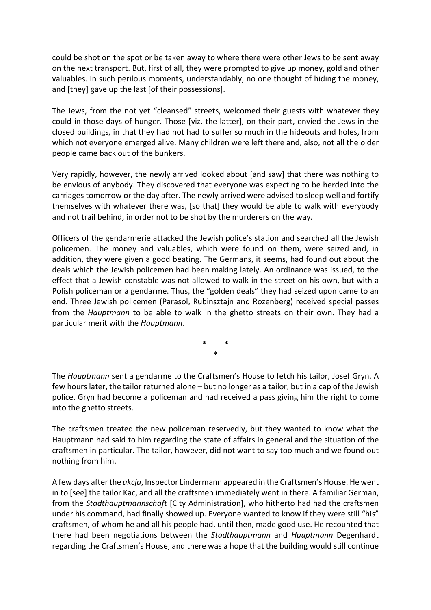could be shot on the spot or be taken away to where there were other Jews to be sent away on the next transport. But, first of all, they were prompted to give up money, gold and other valuables. In such perilous moments, understandably, no one thought of hiding the money, and [they] gave up the last [of their possessions].

The Jews, from the not yet "cleansed" streets, welcomed their guests with whatever they could in those days of hunger. Those [viz. the latter], on their part, envied the Jews in the closed buildings, in that they had not had to suffer so much in the hideouts and holes, from which not everyone emerged alive. Many children were left there and, also, not all the older people came back out of the bunkers.

Very rapidly, however, the newly arrived looked about [and saw] that there was nothing to be envious of anybody. They discovered that everyone was expecting to be herded into the carriages tomorrow or the day after. The newly arrived were advised to sleep well and fortify themselves with whatever there was, [so that] they would be able to walk with everybody and not trail behind, in order not to be shot by the murderers on the way.

Officers of the gendarmerie attacked the Jewish police's station and searched all the Jewish policemen. The money and valuables, which were found on them, were seized and, in addition, they were given a good beating. The Germans, it seems, had found out about the deals which the Jewish policemen had been making lately. An ordinance was issued, to the effect that a Jewish constable was not allowed to walk in the street on his own, but with a Polish policeman or a gendarme. Thus, the "golden deals" they had seized upon came to an end. Three Jewish policemen (Parasol, Rubinsztajn and Rozenberg) received special passes from the Hauptmann to be able to walk in the ghetto streets on their own. They had a particular merit with the Hauptmann.

> \* \* \*

The Hauptmann sent a gendarme to the Craftsmen's House to fetch his tailor, Josef Gryn. A few hours later, the tailor returned alone – but no longer as a tailor, but in a cap of the Jewish police. Gryn had become a policeman and had received a pass giving him the right to come into the ghetto streets.

The craftsmen treated the new policeman reservedly, but they wanted to know what the Hauptmann had said to him regarding the state of affairs in general and the situation of the craftsmen in particular. The tailor, however, did not want to say too much and we found out nothing from him.

A few days after the akcja, Inspector Lindermann appeared in the Craftsmen's House. He went in to [see] the tailor Kac, and all the craftsmen immediately went in there. A familiar German, from the Stadthauptmannschaft [City Administration], who hitherto had had the craftsmen under his command, had finally showed up. Everyone wanted to know if they were still "his" craftsmen, of whom he and all his people had, until then, made good use. He recounted that there had been negotiations between the Stadthauptmann and Hauptmann Degenhardt regarding the Craftsmen's House, and there was a hope that the building would still continue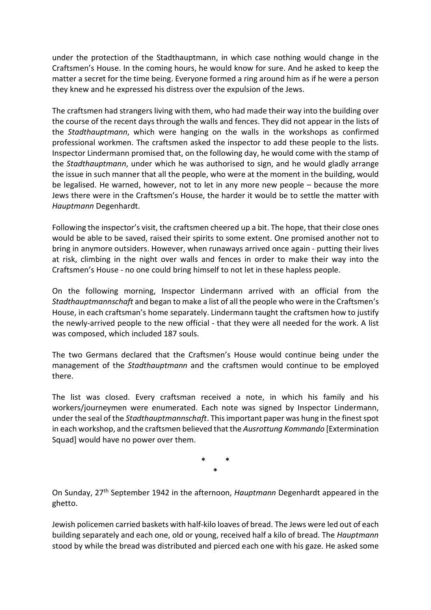under the protection of the Stadthauptmann, in which case nothing would change in the Craftsmen's House. In the coming hours, he would know for sure. And he asked to keep the matter a secret for the time being. Everyone formed a ring around him as if he were a person they knew and he expressed his distress over the expulsion of the Jews.

The craftsmen had strangers living with them, who had made their way into the building over the course of the recent days through the walls and fences. They did not appear in the lists of the Stadthauptmann, which were hanging on the walls in the workshops as confirmed professional workmen. The craftsmen asked the inspector to add these people to the lists. Inspector Lindermann promised that, on the following day, he would come with the stamp of the *Stadthauptmann*, under which he was authorised to sign, and he would gladly arrange the issue in such manner that all the people, who were at the moment in the building, would be legalised. He warned, however, not to let in any more new people – because the more Jews there were in the Craftsmen's House, the harder it would be to settle the matter with Hauptmann Degenhardt.

Following the inspector's visit, the craftsmen cheered up a bit. The hope, that their close ones would be able to be saved, raised their spirits to some extent. One promised another not to bring in anymore outsiders. However, when runaways arrived once again - putting their lives at risk, climbing in the night over walls and fences in order to make their way into the Craftsmen's House - no one could bring himself to not let in these hapless people.

On the following morning, Inspector Lindermann arrived with an official from the Stadthauptmannschaft and began to make a list of all the people who were in the Craftsmen's House, in each craftsman's home separately. Lindermann taught the craftsmen how to justify the newly-arrived people to the new official - that they were all needed for the work. A list was composed, which included 187 souls.

The two Germans declared that the Craftsmen's House would continue being under the management of the Stadthauptmann and the craftsmen would continue to be employed there.

The list was closed. Every craftsman received a note, in which his family and his workers/journeymen were enumerated. Each note was signed by Inspector Lindermann, under the seal of the *Stadthauptmannschaft*. This important paper was hung in the finest spot in each workshop, and the craftsmen believed that the Ausrottung Kommando [Extermination Squad] would have no power over them.

> \* \* \*

On Sunday, 27th September 1942 in the afternoon, Hauptmann Degenhardt appeared in the ghetto.

Jewish policemen carried baskets with half-kilo loaves of bread. The Jews were led out of each building separately and each one, old or young, received half a kilo of bread. The *Hauptmann* stood by while the bread was distributed and pierced each one with his gaze. He asked some